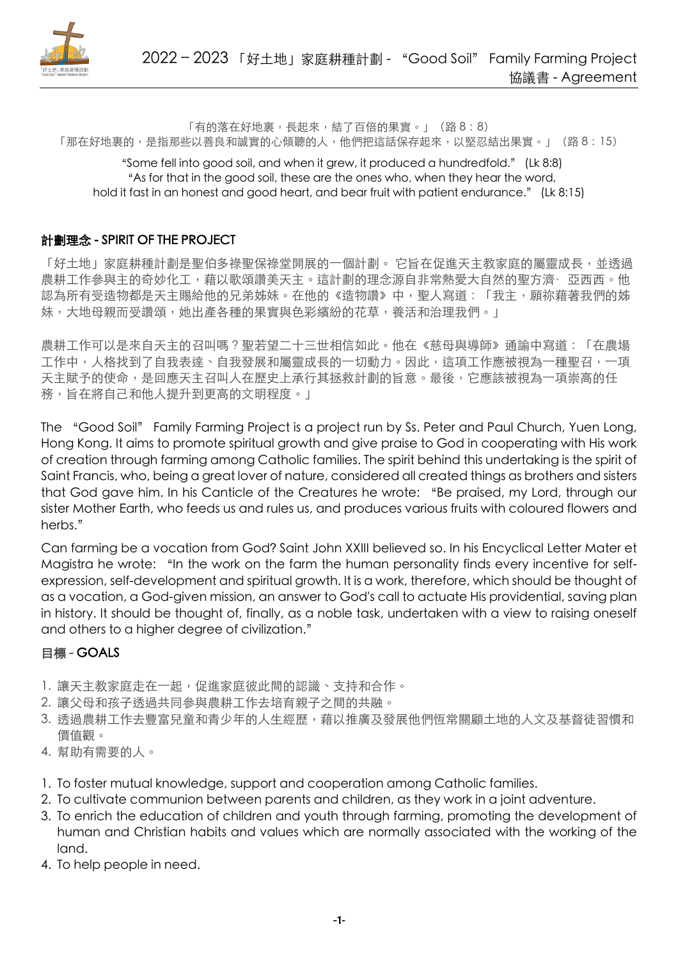

「有的落在好地裏,長起來,結了百倍的果實。」(路8:8) 「那在好地裏的,是指那些以善良和誠實的心傾聽的人,他們把這話保存起來,以堅忍結出果實。」(路 8:15)

"Some fell into good soil, and when it grew, it produced a hundredfold." (Lk 8:8) "As for that in the good soil, these are the ones who, when they hear the word, hold it fast in an honest and good heart, and bear fruit with patient endurance." (Lk 8:15)

### 計劃理念 - SPIRIT OF THE PROJECT

「好土地」家庭耕種計劃是聖伯多祿聖保祿堂開展的一個計劃。 它旨在促進天主教家庭的屬靈成長,並透過 農耕工作參與主的奇妙化工,藉以歌頌讚美天主。這計劃的理念源自非常熱愛大自然的聖方濟·亞西西。他 認為所有受造物都是天主賜給他的兄弟姊妹。在他的《造物讚》中,聖人寫道:「我主,願祢藉著我們的姊 妹,大地母親而受讚頌,她出產各種的果實與色彩繽紛的花草,養活和治理我們。」

農耕工作可以是來自天主的召叫嗎?聖若望二十三世相信如此。他在《慈母與導師》通諭中寫道:「在農場 工作中, 人格找到了自我表達、自我發展和屬靈成長的一切動力。因此, 這項工作應被視為一種聖召, 一項 天主賦予的使命,是回應天主召叫⼈在歷史上承⾏其拯救計劃的旨意。最後,它應該被視為⼀項崇⾼的任 務,旨在將⾃⼰和他⼈提升到更⾼的⽂明程度。」

The "Good Soil" Family Farming Project is a project run by Ss. Peter and Paul Church, Yuen Long, Hong Kong. It aims to promote spiritual growth and give praise to God in cooperating with His work of creation through farming among Catholic families. The spirit behind this undertaking is the spirit of Saint Francis, who, being a great lover of nature, considered all created things as brothers and sisters that God gave him. In his Canticle of the Creatures he wrote: "Be praised, my Lord, through our sister Mother Earth, who feeds us and rules us, and produces various fruits with coloured flowers and herbs."

Can farming be a vocation from God? Saint John XXIII believed so. In his Encyclical Letter Mater et Magistra he wrote: "In the work on the farm the human personality finds every incentive for selfexpression, self-development and spiritual growth. It is a work, therefore, which should be thought of as a vocation, a God-given mission, an answer to God's call to actuate His providential, saving plan in history. It should be thought of, finally, as a noble task, undertaken with a view to raising oneself and others to a higher degree of civilization."

### **目標 - GOALS**

- 1. 讓天主教家庭在一起,促進家庭彼此間的認識、支持和合作。
- 2. 讓父母和孩子透過共同參與農耕工作去培育親子之間的共融。
- 3. 透過農耕工作去豐富兒童和青少年的人生經歷,藉以推廣及發展他們恆常關顧土地的人文及基督徒習慣和 價值觀。
- 4. 幫助有需要的⼈。
- 1. To foster mutual knowledge, support and cooperation among Catholic families.
- 2. To cultivate communion between parents and children, as they work in a joint adventure.
- 3. To enrich the education of children and youth through farming, promoting the development of human and Christian habits and values which are normally associated with the working of the land.
- 4. To help people in need.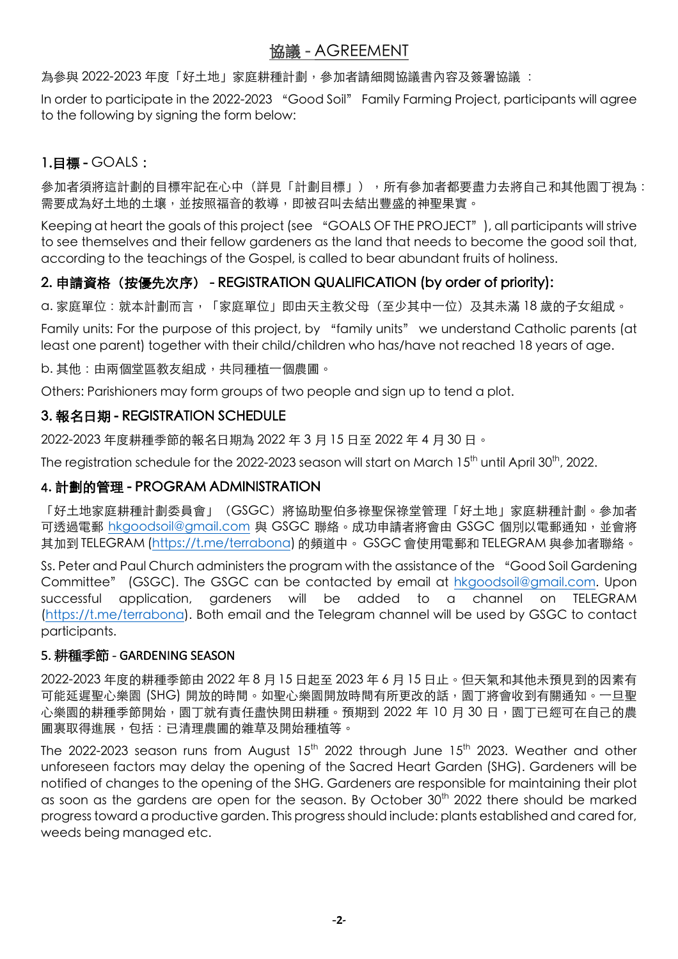# 協議 - AGREEMENT

為參與 2022-2023 年度「好土地」家庭耕種計劃,參加者請細閱協議書內容及簽署協議:

In order to participate in the 2022-2023 "Good Soil" Family Farming Project, participants will agree to the following by signing the form below:

## 1.目標 - GOALS:

參加者須將這計劃的目標牢記在心中 (詳見「計劃目標」), 所有參加者都要盡力去將自己和其他園丅視為: 需要成為好土地的土壤,並按照福音的教導,即被召叫去結出豐盛的神聖果實。

Keeping at heart the goals of this project (see "GOALS OF THE PROJECT"), all participants will strive to see themselves and their fellow gardeners as the land that needs to become the good soil that, according to the teachings of the Gospel, is called to bear abundant fruits of holiness.

# 2. 申請資格(按優先次序) - REGISTRATION QUALIFICATION (by order of priority):

a. 家庭單位: 就本計劃而言, 「家庭單位」即由天主教父母(至少其中一位)及其未滿 18 歲的子女組成。

Family units: For the purpose of this project, by "family units" we understand Catholic parents (at least one parent) together with their child/children who has/have not reached 18 years of age.

b. 其他: 由兩個堂區教友組成, 共同種植一個農圃。

Others: Parishioners may form groups of two people and sign up to tend a plot.

### 3. 報名⽇期 - REGISTRATION SCHEDULE

2022-2023 年度耕種季節的報名⽇期為 2022 年 3 ⽉ 15 ⽇⾄ 2022 年 4 ⽉ 30 ⽇。

The registration schedule for the 2022-2023 season will start on March 15<sup>th</sup> until April 30<sup>th</sup>, 2022.

#### 4. 計劃的管理 - PROGRAM ADMINISTRATION

「好土地家庭耕種計劃委員會」(GSGC)將協助聖伯多祿聖保祿堂管理「好土地」家庭耕種計劃。參加者 可透過電郵 hkgoodsoil@gmail.com 與 GSGC 聯絡。成功申請者將會由 GSGC 個別以電郵通知,並會將 其加到 TELEGRAM (https://t.me/terrabona) 的頻道中。 GSGC 會使用電郵和 TELEGRAM 與參加者聯絡。

Ss. Peter and Paul Church administers the program with the assistance of the "Good Soil Gardening Committee" (GSGC). The GSGC can be contacted by email at hkgoodsoil@gmail.com. Upon successful application, gardeners will be added to a channel on TELEGRAM (https://t.me/terrabona). Both email and the Telegram channel will be used by GSGC to contact participants.

#### 5. 耕種季節 - GARDENING SEASON

2022-2023 年度的耕種季節由 2022 年 8 月 15 日起至 2023 年 6 月 15 日止。但天氣和其他未預見到的因素有 可能延遲聖心樂園 (SHG) 開放的時間。如聖心樂園開放時間有所更改的話,園丁將會收到有關通知。一旦聖 心樂園的耕種季節開始,園丅就有責任盡快開田耕種。預期到 2022 年 10 月 30 日,園丅已經可在自己的農 圃裏取得進展,包括:已清理農圃的雜草及開始種植等。

The 2022-2023 season runs from August  $15<sup>th</sup>$  2022 through June  $15<sup>th</sup>$  2023. Weather and other unforeseen factors may delay the opening of the Sacred Heart Garden (SHG). Gardeners will be notified of changes to the opening of the SHG. Gardeners are responsible for maintaining their plot as soon as the gardens are open for the season. By October 30<sup>th</sup> 2022 there should be marked progress toward a productive garden. This progress should include: plants established and cared for, weeds being managed etc.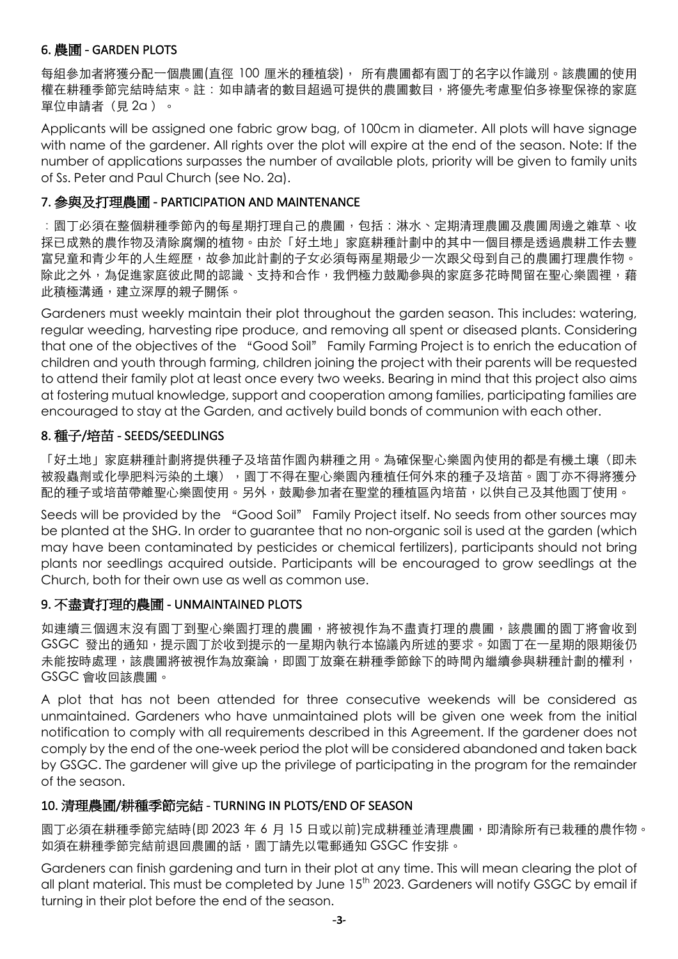### 6. 農圃 - GARDEN PLOTS

每組參加者將獲分配一個農圃(直徑 100 厘米的種植袋), 所有農圃都有園丁的名字以作識別。該農圃的使用 權在耕種季節完結時結束。註:如申請者的數目超過可提供的農圃數目,將優先考慮聖伯多祿聖保祿的家庭 單位申請者(見 2a)。

Applicants will be assigned one fabric grow bag, of 100cm in diameter. All plots will have signage with name of the gardener. All rights over the plot will expire at the end of the season. Note: If the number of applications surpasses the number of available plots, priority will be given to family units of Ss. Peter and Paul Church (see No. 2a).

#### 7. 參與及打理農圃 - PARTICIPATION AND MAINTENANCE

:園丁必須在整個耕種季節內的每星期打理自己的農圃,包括:淋水、定期清理農圃及農圃周邊之雜草、收 採已成熟的農作物及清除腐爛的植物。由於「好土地」家庭耕種計劃中的其中一個目標是透過農耕工作去豐 富兒童和青少年的人生經歷,故參加此計劃的子女必須每兩星期最少一次跟父母到自己的農圃打理農作物。 除此之外,為促進家庭彼此間的認識、支持和合作,我們極力鼓勵參與的家庭多花時間留在聖心樂園裡,藉 此積極溝通,建立深厚的親子關係。

Gardeners must weekly maintain their plot throughout the garden season. This includes: watering, regular weeding, harvesting ripe produce, and removing all spent or diseased plants. Considering that one of the objectives of the "Good Soil" Family Farming Project is to enrich the education of children and youth through farming, children joining the project with their parents will be requested to attend their family plot at least once every two weeks. Bearing in mind that this project also aims at fostering mutual knowledge, support and cooperation among families, participating families are encouraged to stay at the Garden, and actively build bonds of communion with each other.

### 8. 種子/培苗 - SEEDS/SEEDLINGS

「好土地」家庭耕種計劃將提供種子及培苗作園內耕種之用。為確保聖心樂園內使用的都是有機土壤(即未 被殺蟲劑或化學肥料污染的土壤), 國丁不得在聖心樂園內種植任何外來的種子及培苗。園丁亦不得將獲分 配的種子或培苗帶離聖心樂園使用。另外,鼓勵參加者在聖堂的種植區內培苗,以供自己及其他園丁使用。

Seeds will be provided by the "Good Soil" Family Project itself. No seeds from other sources may be planted at the SHG. In order to guarantee that no non-organic soil is used at the garden (which may have been contaminated by pesticides or chemical fertilizers), participants should not bring plants nor seedlings acquired outside. Participants will be encouraged to grow seedlings at the Church, both for their own use as well as common use.

### 9. 不盡責打理的農圃 - UNMAINTAINED PLOTS

如連續三個週末沒有園丁到聖心樂園打理的農圃,將被視作為不盡責打理的農圃,該農圃的園丁將會收到 GSGC 發出的通知,提示園丁於收到提示的一星期內執行本協議內所述的要求。如園丁在一星期的限期後仍 未能按時處理,該農圃將被視作為放棄論,即園丁放棄在耕種季節餘下的時間內繼續參與耕種計劃的權利, GSGC 會收回該農圃。

A plot that has not been attended for three consecutive weekends will be considered as unmaintained. Gardeners who have unmaintained plots will be given one week from the initial notification to comply with all requirements described in this Agreement. If the gardener does not comply by the end of the one-week period the plot will be considered abandoned and taken back by GSGC. The gardener will give up the privilege of participating in the program for the remainder of the season.

### 10. 清理農圃/耕種季節完結 - TURNING IN PLOTS/END OF SEASON

園丁必須在耕種季節完結時(即 2023 年 6 月 15 日或以前)完成耕種並清理農圃,即清除所有已栽種的農作物。 如須在耕種季節完結前退回農圃的話,園丁請先以電郵通知 GSGC 作安排。

Gardeners can finish gardening and turn in their plot at any time. This will mean clearing the plot of all plant material. This must be completed by June 15<sup>th</sup> 2023. Gardeners will notify GSGC by email if turning in their plot before the end of the season.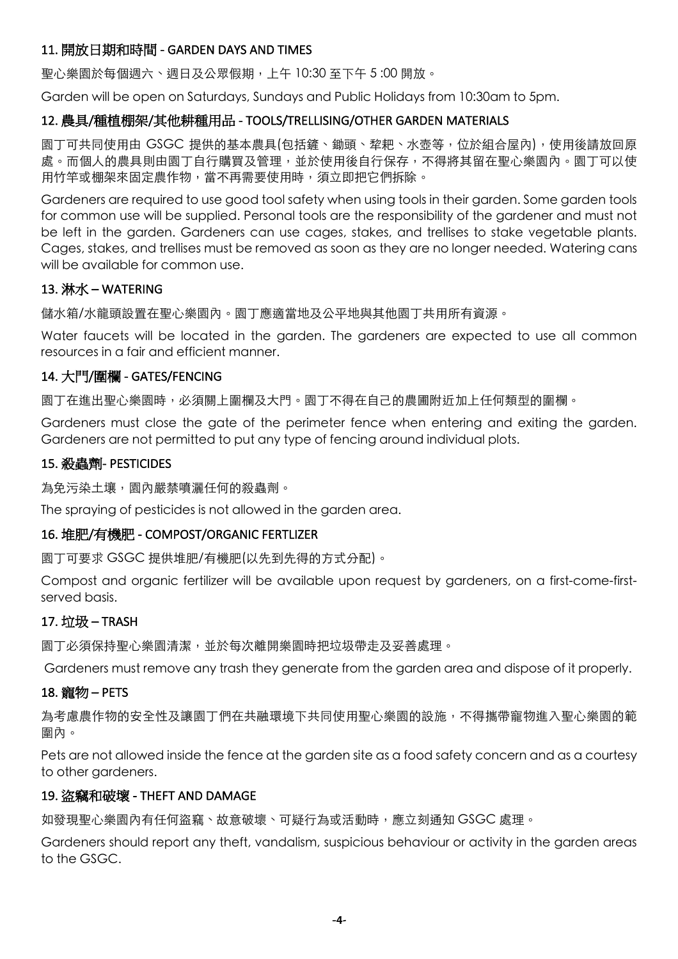### 11. 開放日期和時間 - GARDEN DAYS AND TIMES

聖心樂園於每個週六、週日及公眾假期,上午 10:30 至下午 5:00 開放。

Garden will be open on Saturdays, Sundays and Public Holidays from 10:30am to 5pm.

### 12. 農具/種植棚架/其他耕種用品 - TOOLS/TRELLISING/OTHER GARDEN MATERIALS

園丁可共同使用由 GSGC 提供的基本農具(包括鏟、鋤頭、犂耙、水壺等,位於組合屋內),使用後請放回原 處。而個人的農具則由園丁自行購買及管理,並於使用後自行保存,不得將其留在聖心樂園內。園丁可以使 用竹竿或棚架來固定農作物,當不再需要使用時,須立即把它們拆除。

Gardeners are required to use good tool safety when using tools in their garden. Some garden tools for common use will be supplied. Personal tools are the responsibility of the gardener and must not be left in the garden. Gardeners can use cages, stakes, and trellises to stake vegetable plants. Cages, stakes, and trellises must be removed as soon as they are no longer needed. Watering cans will be available for common use.

### 13. 淋水 – WATERING

儲水箱/水龍頭設置在聖心樂園內。園丅應滴當地及公平地與其他園丅共用所有資源。

Water faucets will be located in the garden. The gardeners are expected to use all common resources in a fair and efficient manner.

#### 14. 大門/圍欄 - GATES/FENCING

園丁在進出聖⼼樂園時,必須關上圍欄及⼤⾨。園丁不得在⾃⼰的農圃附近加上任何類型的圍欄。

Gardeners must close the gate of the perimeter fence when entering and exiting the garden. Gardeners are not permitted to put any type of fencing around individual plots.

### 15. 殺蟲劑- PESTICIDES

為免污染⼟壤,園內嚴禁噴灑任何的殺蟲劑。

The spraying of pesticides is not allowed in the garden area.

#### 16. 堆肥/有機肥 - COMPOST/ORGANIC FERTLIZER

園丁可要求 GSGC 提供堆肥/有機肥(以先到先得的⽅式分配)。

Compost and organic fertilizer will be available upon request by gardeners, on a first-come-firstserved basis.

#### 17. 垃圾 – TRASH

園丁必須保持聖心樂園清潔,並於每次離開樂園時把垃圾帶走及妥善處理。

Gardeners must remove any trash they generate from the garden area and dispose of it properly.

#### 18. 寵物 – PETS

為考慮農作物的安全性及讓園丅們在共融環境下共同使用聖心樂園的設施,不得攜帶寵物進入聖心樂園的範 圍內。

Pets are not allowed inside the fence at the garden site as a food safety concern and as a courtesy to other gardeners.

#### 19. 盜竊和破壞 - THEFT AND DAMAGE

如發現聖心樂園內有任何盜竊、故意破壞、可疑行為或活動時,應立刻通知 GSGC 處理。

Gardeners should report any theft, vandalism, suspicious behaviour or activity in the garden areas to the GSGC.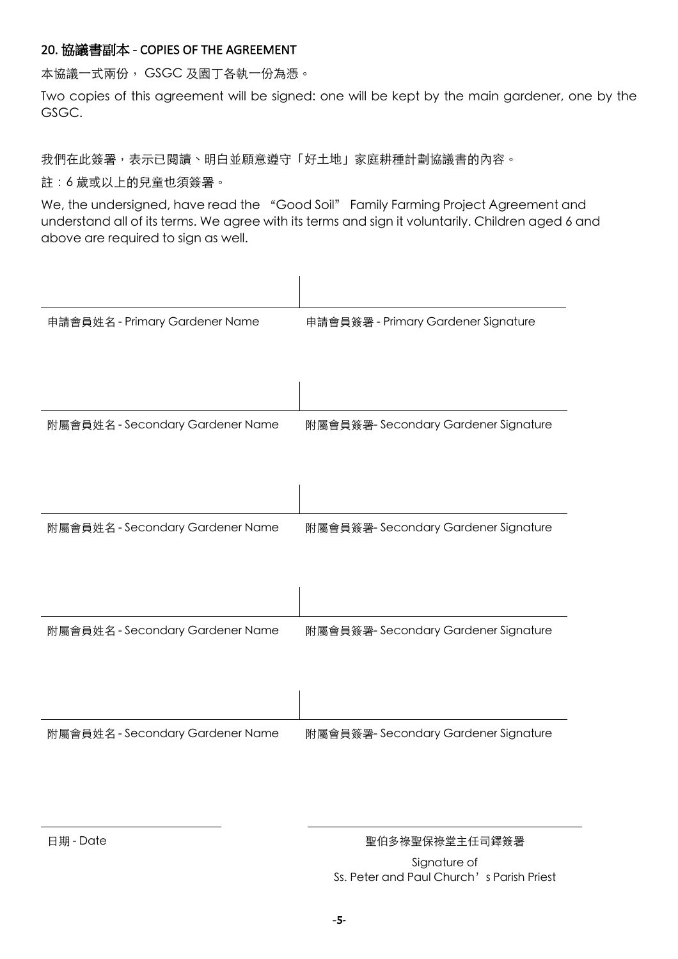#### 20. 協議書副本 - COPIES OF THE AGREEMENT

本協議一式兩份, GSGC 及園丁各執一份為憑。

Two copies of this agreement will be signed: one will be kept by the main gardener, one by the GSGC.

我們在此簽署,表示已閱讀、明白並願意遵守「好土地」家庭耕種計劃協議書的內容。

註:6 歲或以上的兒童也須簽署。

We, the undersigned, have read the "Good Soil" Family Farming Project Agreement and understand all of its terms. We agree with its terms and sign it voluntarily. Children aged 6 and above are required to sign as well.

| 申請會員姓名 - Primary Gardener Name   | 申請會員簽署 - Primary Gardener Signature |
|----------------------------------|-------------------------------------|
|                                  |                                     |
|                                  |                                     |
| 附屬會員姓名 - Secondary Gardener Name | 附屬會員簽署-Secondary Gardener Signature |
|                                  |                                     |
|                                  |                                     |
| 附屬會員姓名 - Secondary Gardener Name | 附屬會員簽署-Secondary Gardener Signature |
|                                  |                                     |
|                                  |                                     |
| 附屬會員姓名 - Secondary Gardener Name | 附屬會員簽署-Secondary Gardener Signature |
|                                  |                                     |
|                                  |                                     |
| 附屬會員姓名 - Secondary Gardener Name | 附屬會員簽署-Secondary Gardener Signature |

日期 - Date 2010 - Particle 2010 - Particle 2010 - Particle 2010 - 聖伯多祿聖保祿堂主任司鐸簽署

Signature of Ss. Peter and Paul Church's Parish Priest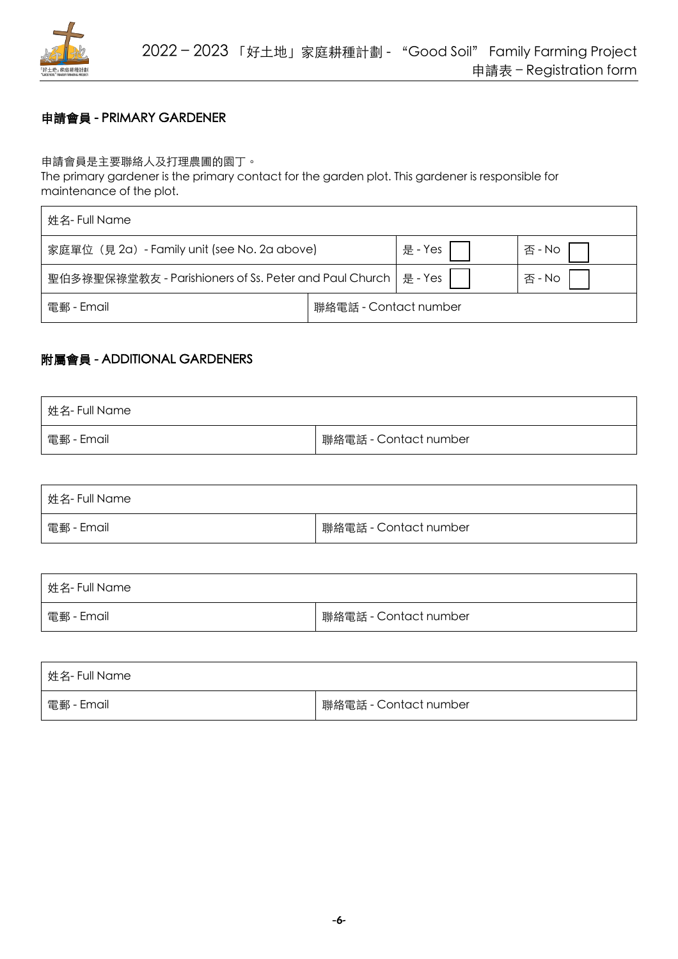

#### 申請會員 - PRIMARY GARDENER

#### 申請會員是主要聯絡⼈及打理農圃的園丁。

The primary gardener is the primary contact for the garden plot. This gardener is responsible for maintenance of the plot.

| 姓名- Full Name                                                    |                       |         |        |
|------------------------------------------------------------------|-----------------------|---------|--------|
| 家庭單位 (見2a) - Family unit (see No. 2a above)                      |                       | 是 - Yes | 否 - No |
| 聖伯多祿聖保祿堂教友 - Parishioners of Ss. Peter and Paul Church   是 - Yes |                       |         | 否 - No |
| 電郵 - Email                                                       | 聯絡電話 - Contact number |         |        |

## 附屬會員 - ADDITIONAL GARDENERS

| 姓名- Full Name |                       |
|---------------|-----------------------|
| 電郵 - Email    | 聯絡電話 - Contact number |

| 姓名- Full Name |                       |
|---------------|-----------------------|
| 電郵 - Email    | 聯絡電話 - Contact number |

| 姓名- Full Name |                       |
|---------------|-----------------------|
| 電郵 - Email    | 聯絡電話 - Contact number |

| 姓名- Full Name |                       |
|---------------|-----------------------|
| 電郵 - Email    | 聯絡電話 - Contact number |